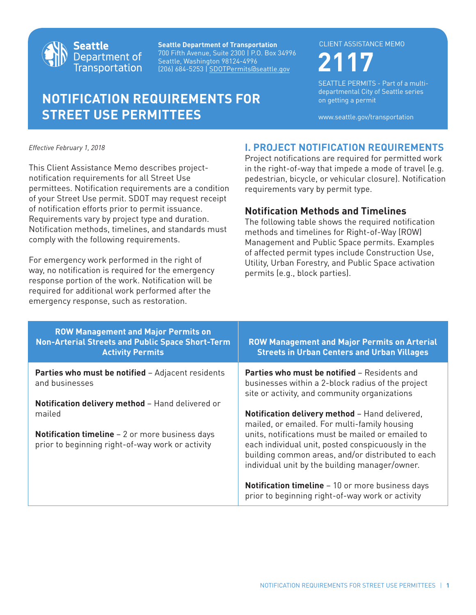

**Seattle Department of Transportation** 700 Fifth Avenue, Suite 2300 | P.O. Box 34996 Seattle, Washington 98124-4996 (206) 684-5253 | SDOTPermits@seattle.gov **2117**

# **NOTIFICATION REQUIREMENTS FOR STREET USE PERMITTEES**

#### CLIENT ASSISTANCE MEMO

SEATTLE PERMITS - Part of a multidepartmental City of Seattle series on getting a permit

www.seattle.gov/transportation

*Effective February 1, 2018*

This Client Assistance Memo describes projectnotification requirements for all Street Use permittees. Notification requirements are a condition of your Street Use permit. SDOT may request receipt of notification efforts prior to permit issuance. Requirements vary by project type and duration. Notification methods, timelines, and standards must comply with the following requirements.

For emergency work performed in the right of way, no notification is required for the emergency response portion of the work. Notification will be required for additional work performed after the emergency response, such as restoration.

### **I. PROJECT NOTIFICATION REQUIREMENTS**

Project notifications are required for permitted work in the right-of-way that impede a mode of travel (e.g. pedestrian, bicycle, or vehicular closure). Notification requirements vary by permit type.

#### **Notification Methods and Timelines**

The following table shows the required notification methods and timelines for Right-of-Way (ROW) Management and Public Space permits. Examples of affected permit types include Construction Use, Utility, Urban Forestry, and Public Space activation permits (e.g., block parties).

| <b>ROW Management and Major Permits on</b><br><b>Non-Arterial Streets and Public Space Short-Term</b><br><b>Activity Permits</b>                                          | <b>ROW Management and Major Permits on Arterial</b><br><b>Streets in Urban Centers and Urban Villages</b>                                                                                                |
|---------------------------------------------------------------------------------------------------------------------------------------------------------------------------|----------------------------------------------------------------------------------------------------------------------------------------------------------------------------------------------------------|
| <b>Parties who must be notified - Adjacent residents</b><br>and businesses                                                                                                | <b>Parties who must be notified - Residents and</b><br>businesses within a 2-block radius of the project<br>site or activity, and community organizations                                                |
| Notification delivery method - Hand delivered or<br>mailed<br><b>Notification timeline</b> $-2$ or more business days<br>prior to beginning right-of-way work or activity | Notification delivery method - Hand delivered,<br>mailed, or emailed. For multi-family housing<br>units, notifications must be mailed or emailed to<br>each individual unit, posted conspicuously in the |
|                                                                                                                                                                           | building common areas, and/or distributed to each<br>individual unit by the building manager/owner.                                                                                                      |
|                                                                                                                                                                           | <b>Notification timeline</b> – 10 or more business days<br>prior to beginning right-of-way work or activity                                                                                              |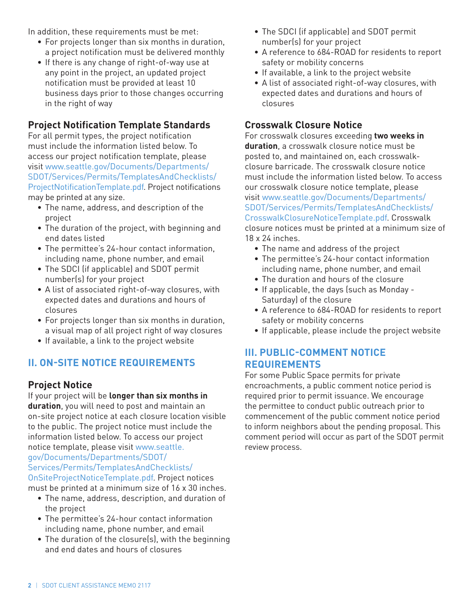In addition, these requirements must be met:

- For projects longer than six months in duration, a project notification must be delivered monthly
- If there is any change of right-of-way use at any point in the project, an updated project notification must be provided at least 10 business days prior to those changes occurring in the right of way

### **Project Notification Template Standards**

For all permit types, the project notification must include the information listed below. To access our project notification template, please visit www.seattle.gov/Documents/Departments/ SDOT/Services/Permits/TemplatesAndChecklists/ [ProjectNotificationTemplate.pdf. Project notifications](www.seattle.gov/Documents/Departments/SDOT/Services/Permits/TemplatesAndChecklists/ProjectNotificationTemplate.pdf) may be printed at any size.

- The name, address, and description of the project
- The duration of the project, with beginning and end dates listed
- The permittee's 24-hour contact information, including name, phone number, and email
- The SDCI (if applicable) and SDOT permit number(s) for your project
- A list of associated right-of-way closures, with expected dates and durations and hours of closures
- For projects longer than six months in duration, a visual map of all project right of way closures
- If available, a link to the project website

# **II. ON-SITE NOTICE REQUIREMENTS**

#### **Project Notice**

If your project will be **longer than six months in duration**, you will need to post and maintain an on-site project notice at each closure location visible to the public. The project notice must include the [information listed below. To access our proje](www.seattle.gov/Documents/Departments/SDOT/Services/Permits/TemplatesAndChecklists/OnSiteProjectNoticeTemplate.pdf)ct notice template, please visit www.seattle. gov/Documents/Departments/SDOT/ Services/Permits/TemplatesAndChecklists/ OnSiteProjectNoticeTemplate.pdf. Project notices

- must be printed at a minimum size of 16 x 30 inches. • The name, address, description, and duration of
	- the project
	- The permittee's 24-hour contact information including name, phone number, and email
	- The duration of the closure(s), with the beginning and end dates and hours of closures
- The SDCI (if applicable) and SDOT permit number(s) for your project
- A reference to 684-ROAD for residents to report safety or mobility concerns
- If available, a link to the project website
- A list of associated right-of-way closures, with expected dates and durations and hours of closures

### **Crosswalk Closure Notice**

For crosswalk closures exceeding **two weeks in duration**, a crosswalk closure notice must be posted to, and maintained on, each crosswalkclosure barricade. The crosswalk closure notice must include the information listed below. To access our crosswalk closure notice template, please visit www.seattle.gov/Documents/Departments/ [SDOT/Services/Permits/TemplatesAndChecklists/](www.seattle.gov/Documents/Departments/SDOT/Services/Permits/TemplatesAndChecklists/CrosswalkClosureNoticeTemplate.pdf) CrosswalkClosureNoticeTemplate.pdf. Crosswalk closure notices must be printed at a minimum size of 18 x 24 inches.

- The name and address of the project
- The permittee's 24-hour contact information including name, phone number, and email
- The duration and hours of the closure
- If applicable, the days (such as Monday Saturday) of the closure
- A reference to 684-ROAD for residents to report safety or mobility concerns
- If applicable, please include the project website

## **III. PUBLIC-COMMENT NOTICE REQUIREMENTS**

For some Public Space permits for private encroachments, a public comment notice period is required prior to permit issuance. We encourage the permittee to conduct public outreach prior to commencement of the public comment notice period to inform neighbors about the pending proposal. This comment period will occur as part of the SDOT permit review process.